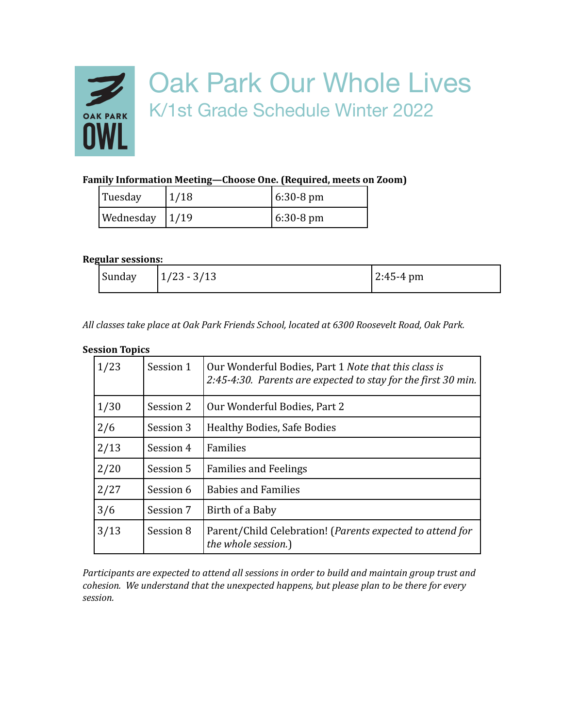

# Oak Park Our Whole Lives K/1st Grade Schedule Winter 2022

## **Family Information Meeting—Choose One. (Required, meets on Zoom)**

| Tuesday           | 1/18 | $6:30-8 \text{ pm}$ |
|-------------------|------|---------------------|
| Wednesday $ 1/19$ |      | $6:30-8 \text{ pm}$ |

#### **Regular sessions:**

| Sunday<br>$1/23 - 3/13$<br>$2:45-4 \text{ pm}$ |
|------------------------------------------------|
|------------------------------------------------|

*All classes take place at Oak Park Friends School, located at 6300 Roosevelt Road, Oak Park.*

#### **Session Topics**

| 1/23 | Session 1 | Our Wonderful Bodies, Part 1 Note that this class is<br>2:45-4:30. Parents are expected to stay for the first 30 min. |  |
|------|-----------|-----------------------------------------------------------------------------------------------------------------------|--|
| 1/30 | Session 2 | Our Wonderful Bodies, Part 2                                                                                          |  |
| 2/6  | Session 3 | Healthy Bodies, Safe Bodies                                                                                           |  |
| 2/13 | Session 4 | Families                                                                                                              |  |
| 2/20 | Session 5 | <b>Families and Feelings</b>                                                                                          |  |
| 2/27 | Session 6 | <b>Babies and Families</b>                                                                                            |  |
| 3/6  | Session 7 | Birth of a Baby                                                                                                       |  |
| 3/13 | Session 8 | Parent/Child Celebration! (Parents expected to attend for<br>the whole session.)                                      |  |

*Participants are expected to attend all sessions in order to build and maintain group trust and cohesion. We understand that the unexpected happens, but please plan to be there for every session.*